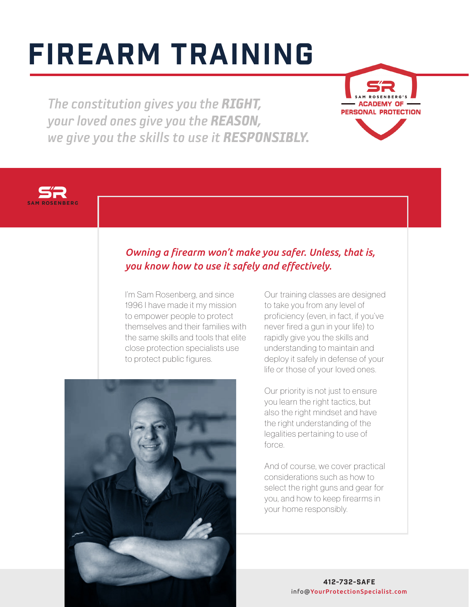# Firearm training

*The constitution gives you the RIGHT, your loved ones give you the REASON, we give you the skills to use it RESPONSIBLY.*





# *Owning a firearm won't make you safer. Unless, that is, you know how to use it safely and effectively.*

I'm Sam Rosenberg, and since 1996 I have made it my mission to empower people to protect themselves and their families with the same skills and tools that elite close protection specialists use to protect public figures.



Our training classes are designed to take you from any level of proficiency (even, in fact, if you've never fired a gun in your life) to rapidly give you the skills and understanding to maintain and deploy it safely in defense of your life or those of your loved ones.

Our priority is not just to ensure you learn the right tactics, but also the right mindset and have the right understanding of the legalities pertaining to use of force.

And of course, we cover practical considerations such as how to select the right guns and gear for you, and how to keep firearms in your home responsibly.